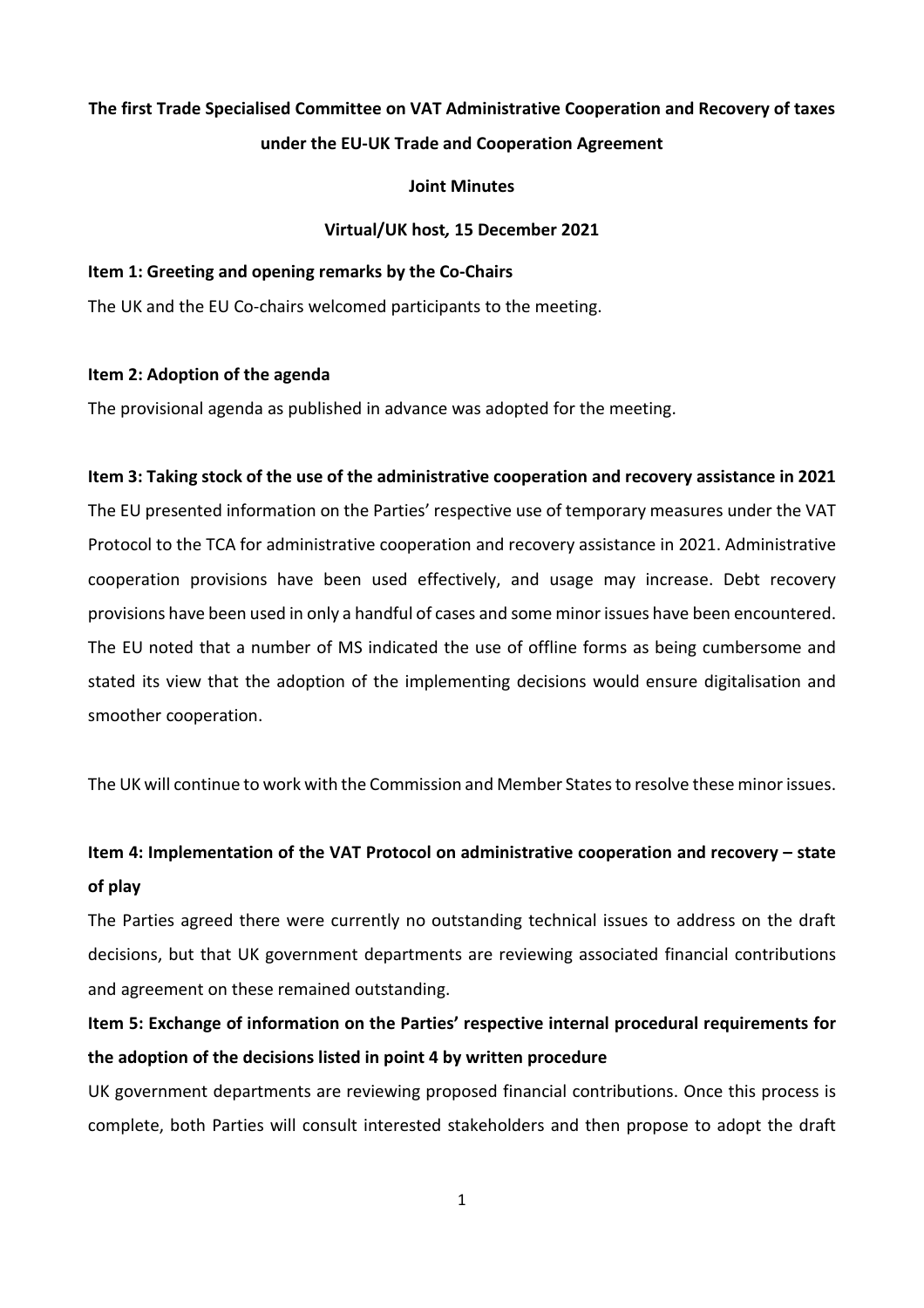# **The first Trade Specialised Committee on VAT Administrative Cooperation and Recovery of taxes under the EU-UK Trade and Cooperation Agreement**

### **Joint Minutes**

### **Virtual/UK host***,* **15 December 2021**

#### **Item 1: Greeting and opening remarks by the Co-Chairs**

The UK and the EU Co-chairs welcomed participants to the meeting.

### **Item 2: Adoption of the agenda**

The provisional agenda as published in advance was adopted for the meeting.

### **Item 3: Taking stock of the use of the administrative cooperation and recovery assistance in 2021**

The EU presented information on the Parties' respective use of temporary measures under the VAT Protocol to the TCA for administrative cooperation and recovery assistance in 2021. Administrative cooperation provisions have been used effectively, and usage may increase. Debt recovery provisions have been used in only a handful of cases and some minor issues have been encountered. The EU noted that a number of MS indicated the use of offline forms as being cumbersome and stated its view that the adoption of the implementing decisions would ensure digitalisation and smoother cooperation.

The UK will continue to work with the Commission and Member Statesto resolve these minor issues.

# **Item 4: Implementation of the VAT Protocol on administrative cooperation and recovery – state of play**

The Parties agreed there were currently no outstanding technical issues to address on the draft decisions, but that UK government departments are reviewing associated financial contributions and agreement on these remained outstanding.

# **Item 5: Exchange of information on the Parties' respective internal procedural requirements for the adoption of the decisions listed in point 4 by written procedure**

UK government departments are reviewing proposed financial contributions. Once this process is complete, both Parties will consult interested stakeholders and then propose to adopt the draft

1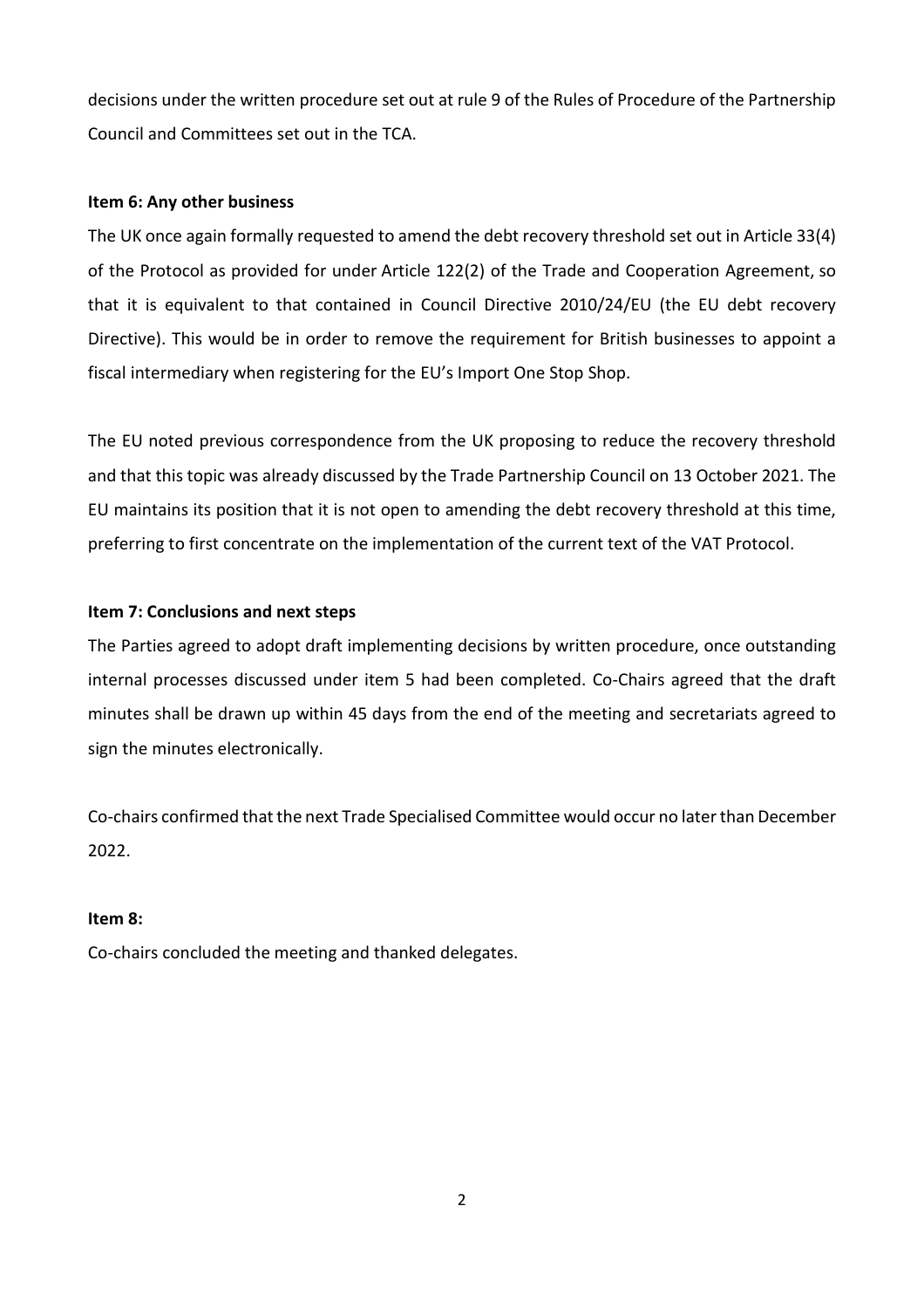decisions under the written procedure set out at rule 9 of the Rules of Procedure of the Partnership Council and Committees set out in the TCA.

### **Item 6: Any other business**

The UK once again formally requested to amend the debt recovery threshold set out in Article 33(4) of the Protocol as provided for under Article 122(2) of the Trade and Cooperation Agreement, so that it is equivalent to that contained in Council Directive 2010/24/EU (the EU debt recovery Directive). This would be in order to remove the requirement for British businesses to appoint a fiscal intermediary when registering for the EU's Import One Stop Shop.

The EU noted previous correspondence from the UK proposing to reduce the recovery threshold and that this topic was already discussed by the Trade Partnership Council on 13 October 2021. The EU maintains its position that it is not open to amending the debt recovery threshold at this time, preferring to first concentrate on the implementation of the current text of the VAT Protocol.

### **Item 7: Conclusions and next steps**

The Parties agreed to adopt draft implementing decisions by written procedure, once outstanding internal processes discussed under item 5 had been completed. Co-Chairs agreed that the draft minutes shall be drawn up within 45 days from the end of the meeting and secretariats agreed to sign the minutes electronically.

Co-chairs confirmed that the next Trade Specialised Committee would occur no later than December 2022.

#### **Item 8:**

Co-chairs concluded the meeting and thanked delegates.